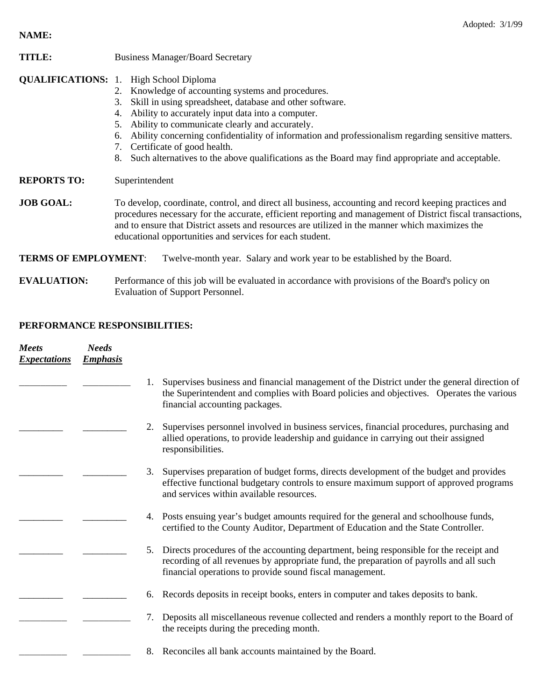**NAME:** 

| <b>TITLE:</b> | <b>Business Manager/Board Secretary</b> |
|---------------|-----------------------------------------|
|---------------|-----------------------------------------|

- **QUALIFICATIONS:** 1. High School Diploma
	- 2. Knowledge of accounting systems and procedures.
	- 3. Skill in using spreadsheet, database and other software.
	- 4. Ability to accurately input data into a computer.
	- 5. Ability to communicate clearly and accurately.
	- 6. Ability concerning confidentiality of information and professionalism regarding sensitive matters.
	- 7. Certificate of good health.
	- 8. Such alternatives to the above qualifications as the Board may find appropriate and acceptable.

**REPORTS TO:** Superintendent

**JOB GOAL:** To develop, coordinate, control, and direct all business, accounting and record keeping practices and procedures necessary for the accurate, efficient reporting and management of District fiscal transactions, and to ensure that District assets and resources are utilized in the manner which maximizes the educational opportunities and services for each student.

**TERMS OF EMPLOYMENT**: Twelve-month year. Salary and work year to be established by the Board.

**EVALUATION:** Performance of this job will be evaluated in accordance with provisions of the Board's policy on Evaluation of Support Personnel.

## **PERFORMANCE RESPONSIBILITIES:**

| <b>Meets</b><br><b>Expectations</b> | <b>Needs</b><br><b>Emphasis</b> |                                                                                                                                                                                                                                                     |
|-------------------------------------|---------------------------------|-----------------------------------------------------------------------------------------------------------------------------------------------------------------------------------------------------------------------------------------------------|
|                                     |                                 | Supervises business and financial management of the District under the general direction of<br>the Superintendent and complies with Board policies and objectives. Operates the various<br>financial accounting packages.                           |
|                                     |                                 | Supervises personnel involved in business services, financial procedures, purchasing and<br>2.<br>allied operations, to provide leadership and guidance in carrying out their assigned<br>responsibilities.                                         |
|                                     |                                 | 3.<br>Supervises preparation of budget forms, directs development of the budget and provides<br>effective functional budgetary controls to ensure maximum support of approved programs<br>and services within available resources.                  |
|                                     |                                 | Posts ensuing year's budget amounts required for the general and schoolhouse funds,<br>4.<br>certified to the County Auditor, Department of Education and the State Controller.                                                                     |
|                                     |                                 | Directs procedures of the accounting department, being responsible for the receipt and<br>5.<br>recording of all revenues by appropriate fund, the preparation of payrolls and all such<br>financial operations to provide sound fiscal management. |
|                                     |                                 | Records deposits in receipt books, enters in computer and takes deposits to bank.<br>6.                                                                                                                                                             |
|                                     |                                 | Deposits all miscellaneous revenue collected and renders a monthly report to the Board of<br>7.<br>the receipts during the preceding month.                                                                                                         |
|                                     |                                 | Reconciles all bank accounts maintained by the Board.<br>8.                                                                                                                                                                                         |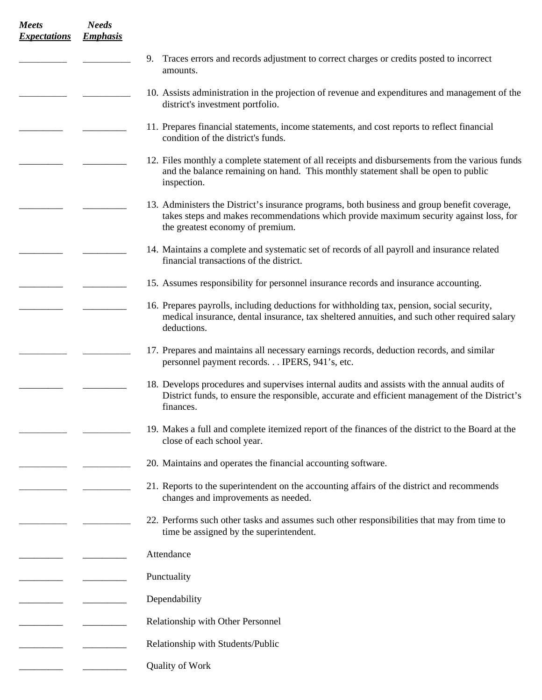| <b>Meets</b><br><b>Expectations</b> | <b>Needs</b><br><b>Emphasis</b> |                                                                                                                                                                                                                            |
|-------------------------------------|---------------------------------|----------------------------------------------------------------------------------------------------------------------------------------------------------------------------------------------------------------------------|
|                                     |                                 | 9.<br>Traces errors and records adjustment to correct charges or credits posted to incorrect<br>amounts.                                                                                                                   |
|                                     |                                 | 10. Assists administration in the projection of revenue and expenditures and management of the<br>district's investment portfolio.                                                                                         |
|                                     |                                 | 11. Prepares financial statements, income statements, and cost reports to reflect financial<br>condition of the district's funds.                                                                                          |
|                                     |                                 | 12. Files monthly a complete statement of all receipts and disbursements from the various funds<br>and the balance remaining on hand. This monthly statement shall be open to public<br>inspection.                        |
|                                     |                                 | 13. Administers the District's insurance programs, both business and group benefit coverage,<br>takes steps and makes recommendations which provide maximum security against loss, for<br>the greatest economy of premium. |
|                                     |                                 | 14. Maintains a complete and systematic set of records of all payroll and insurance related<br>financial transactions of the district.                                                                                     |
|                                     |                                 | 15. Assumes responsibility for personnel insurance records and insurance accounting.                                                                                                                                       |
|                                     |                                 | 16. Prepares payrolls, including deductions for withholding tax, pension, social security,<br>medical insurance, dental insurance, tax sheltered annuities, and such other required salary<br>deductions.                  |
|                                     |                                 | 17. Prepares and maintains all necessary earnings records, deduction records, and similar<br>personnel payment records. IPERS, 941's, etc.                                                                                 |
|                                     |                                 | 18. Develops procedures and supervises internal audits and assists with the annual audits of<br>District funds, to ensure the responsible, accurate and efficient management of the District's<br>finances.                |
|                                     |                                 | 19. Makes a full and complete itemized report of the finances of the district to the Board at the<br>close of each school year.                                                                                            |
|                                     |                                 | 20. Maintains and operates the financial accounting software.                                                                                                                                                              |
|                                     |                                 | 21. Reports to the superintendent on the accounting affairs of the district and recommends<br>changes and improvements as needed.                                                                                          |
|                                     |                                 | 22. Performs such other tasks and assumes such other responsibilities that may from time to<br>time be assigned by the superintendent.                                                                                     |
|                                     |                                 | Attendance                                                                                                                                                                                                                 |
|                                     |                                 | Punctuality                                                                                                                                                                                                                |
|                                     |                                 | Dependability                                                                                                                                                                                                              |
|                                     |                                 | Relationship with Other Personnel                                                                                                                                                                                          |
|                                     |                                 | Relationship with Students/Public                                                                                                                                                                                          |
|                                     |                                 | Quality of Work                                                                                                                                                                                                            |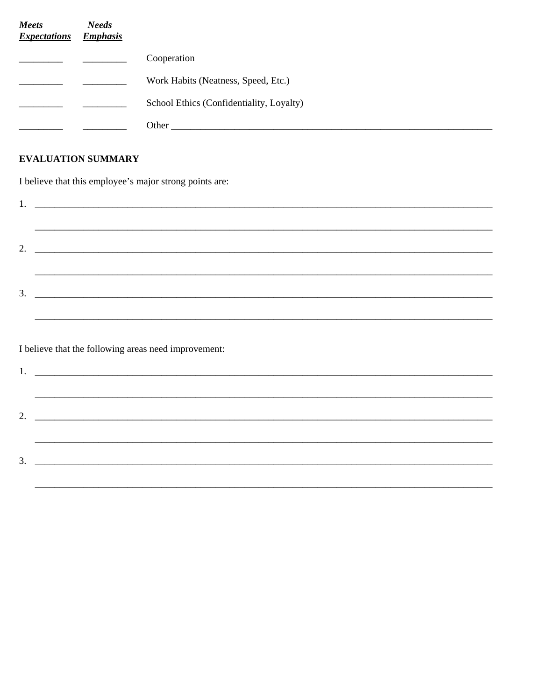| Meets<br><b>Expectations</b> | <b>Needs</b><br><b>Emphasis</b> |                                          |
|------------------------------|---------------------------------|------------------------------------------|
|                              |                                 | Cooperation                              |
|                              |                                 | Work Habits (Neatness, Speed, Etc.)      |
|                              |                                 | School Ethics (Confidentiality, Loyalty) |
|                              |                                 | Other                                    |

## **EVALUATION SUMMARY**

I believe that this employee's major strong points are:

| 3. |  |  |
|----|--|--|
|    |  |  |
|    |  |  |

I believe that the following areas need improvement:

| <u> 2000 - Jan Jan James, mars and de la provincia de la provincia de la provincia de la provincia de la provinci</u> |  |
|-----------------------------------------------------------------------------------------------------------------------|--|
|                                                                                                                       |  |
| <u> 2002 - Jan James James Barnett, amerikansk politik (d. 18</u>                                                     |  |
|                                                                                                                       |  |